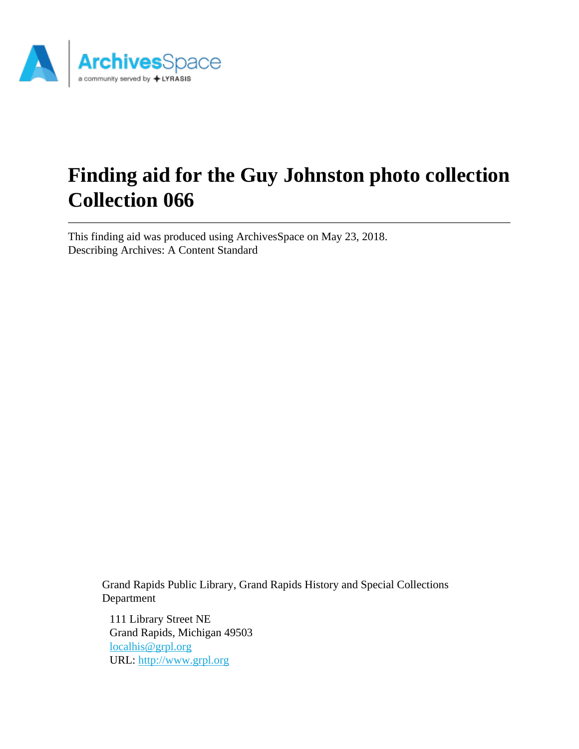

# **Finding aid for the Guy Johnston photo collection Collection 066**

This finding aid was produced using ArchivesSpace on May 23, 2018. Describing Archives: A Content Standard

> Grand Rapids Public Library, Grand Rapids History and Special Collections Department

111 Library Street NE Grand Rapids, Michigan 49503 [localhis@grpl.org](mailto:localhis@grpl.org) URL:<http://www.grpl.org>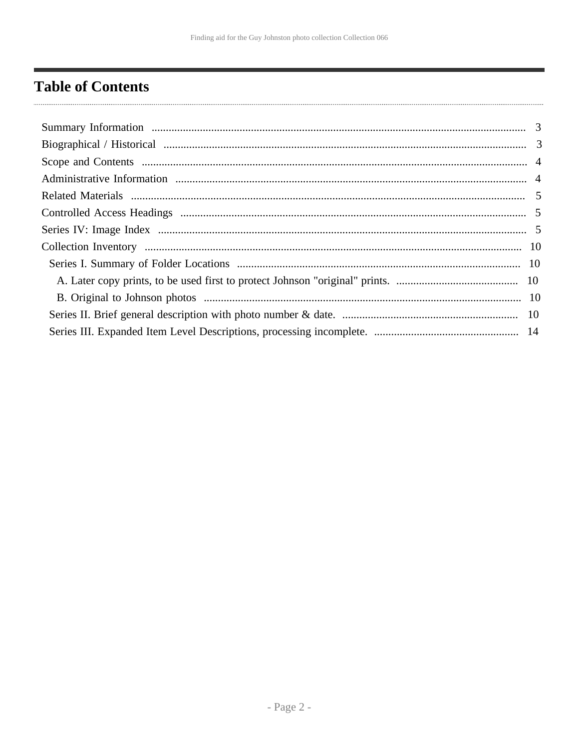# <span id="page-1-0"></span>**Table of Contents**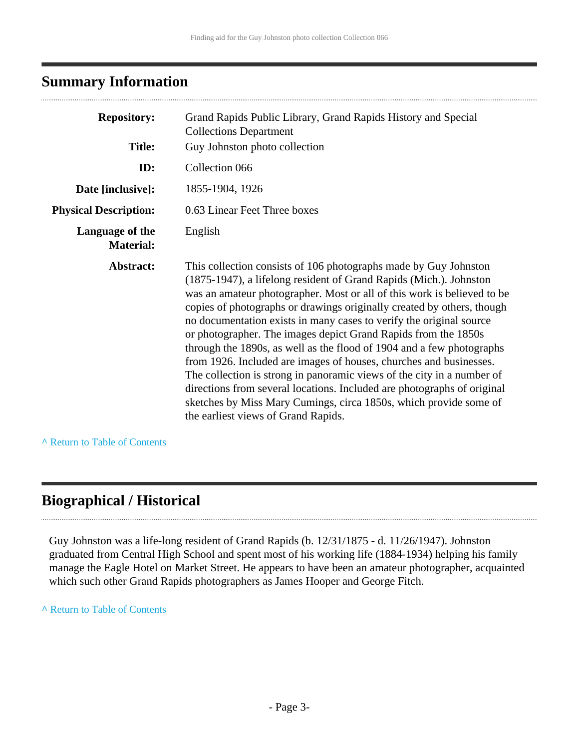## <span id="page-2-0"></span>**Summary Information**

| <b>Repository:</b>                  | Grand Rapids Public Library, Grand Rapids History and Special<br><b>Collections Department</b>                                                                                                                                                                                                                                                                                                                                                                                                                                                                                                                                                                                                                                                                                                                                                       |
|-------------------------------------|------------------------------------------------------------------------------------------------------------------------------------------------------------------------------------------------------------------------------------------------------------------------------------------------------------------------------------------------------------------------------------------------------------------------------------------------------------------------------------------------------------------------------------------------------------------------------------------------------------------------------------------------------------------------------------------------------------------------------------------------------------------------------------------------------------------------------------------------------|
| <b>Title:</b>                       | Guy Johnston photo collection                                                                                                                                                                                                                                                                                                                                                                                                                                                                                                                                                                                                                                                                                                                                                                                                                        |
| ID:                                 | Collection 066                                                                                                                                                                                                                                                                                                                                                                                                                                                                                                                                                                                                                                                                                                                                                                                                                                       |
| Date [inclusive]:                   | 1855-1904, 1926                                                                                                                                                                                                                                                                                                                                                                                                                                                                                                                                                                                                                                                                                                                                                                                                                                      |
| <b>Physical Description:</b>        | 0.63 Linear Feet Three boxes                                                                                                                                                                                                                                                                                                                                                                                                                                                                                                                                                                                                                                                                                                                                                                                                                         |
| Language of the<br><b>Material:</b> | English                                                                                                                                                                                                                                                                                                                                                                                                                                                                                                                                                                                                                                                                                                                                                                                                                                              |
| Abstract:                           | This collection consists of 106 photographs made by Guy Johnston<br>(1875-1947), a lifelong resident of Grand Rapids (Mich.). Johnston<br>was an amateur photographer. Most or all of this work is believed to be<br>copies of photographs or drawings originally created by others, though<br>no documentation exists in many cases to verify the original source<br>or photographer. The images depict Grand Rapids from the 1850s<br>through the 1890s, as well as the flood of 1904 and a few photographs<br>from 1926. Included are images of houses, churches and businesses.<br>The collection is strong in panoramic views of the city in a number of<br>directions from several locations. Included are photographs of original<br>sketches by Miss Mary Cumings, circa 1850s, which provide some of<br>the earliest views of Grand Rapids. |

**^** [Return to Table of Contents](#page-1-0)

### <span id="page-2-1"></span>**Biographical / Historical**

Guy Johnston was a life-long resident of Grand Rapids (b. 12/31/1875 - d. 11/26/1947). Johnston graduated from Central High School and spent most of his working life (1884-1934) helping his family manage the Eagle Hotel on Market Street. He appears to have been an amateur photographer, acquainted which such other Grand Rapids photographers as James Hooper and George Fitch.

**^** [Return to Table of Contents](#page-1-0)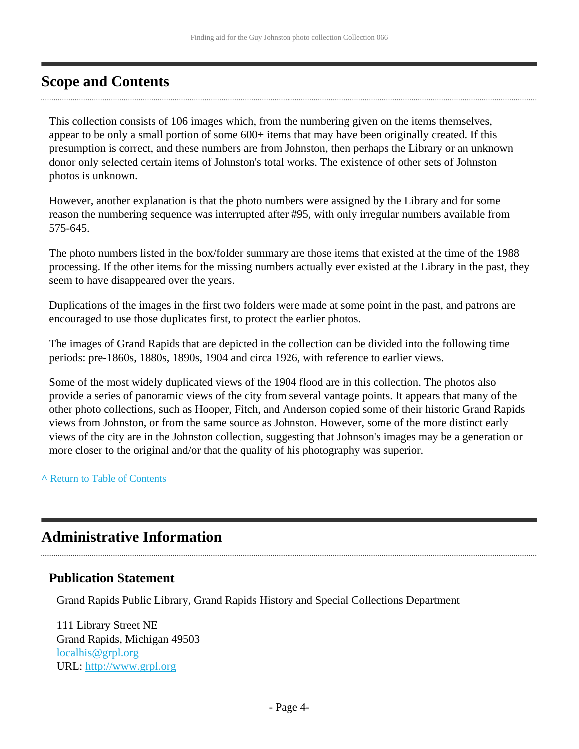### <span id="page-3-0"></span>**Scope and Contents**

This collection consists of 106 images which, from the numbering given on the items themselves, appear to be only a small portion of some 600+ items that may have been originally created. If this presumption is correct, and these numbers are from Johnston, then perhaps the Library or an unknown donor only selected certain items of Johnston's total works. The existence of other sets of Johnston photos is unknown.

However, another explanation is that the photo numbers were assigned by the Library and for some reason the numbering sequence was interrupted after #95, with only irregular numbers available from 575-645.

The photo numbers listed in the box/folder summary are those items that existed at the time of the 1988 processing. If the other items for the missing numbers actually ever existed at the Library in the past, they seem to have disappeared over the years.

Duplications of the images in the first two folders were made at some point in the past, and patrons are encouraged to use those duplicates first, to protect the earlier photos.

The images of Grand Rapids that are depicted in the collection can be divided into the following time periods: pre-1860s, 1880s, 1890s, 1904 and circa 1926, with reference to earlier views.

Some of the most widely duplicated views of the 1904 flood are in this collection. The photos also provide a series of panoramic views of the city from several vantage points. It appears that many of the other photo collections, such as Hooper, Fitch, and Anderson copied some of their historic Grand Rapids views from Johnston, or from the same source as Johnston. However, some of the more distinct early views of the city are in the Johnston collection, suggesting that Johnson's images may be a generation or more closer to the original and/or that the quality of his photography was superior.

**^** [Return to Table of Contents](#page-1-0)

### <span id="page-3-1"></span>**Administrative Information**

#### **Publication Statement**

Grand Rapids Public Library, Grand Rapids History and Special Collections Department

111 Library Street NE Grand Rapids, Michigan 49503 [localhis@grpl.org](mailto:localhis@grpl.org) URL:<http://www.grpl.org>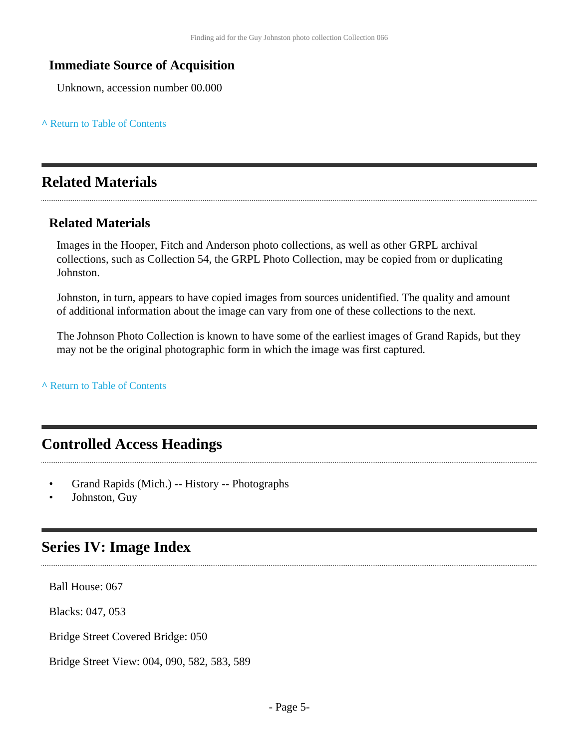### **Immediate Source of Acquisition**

Unknown, accession number 00.000

#### **^** [Return to Table of Contents](#page-1-0)

### <span id="page-4-0"></span>**Related Materials**

### **Related Materials**

Images in the Hooper, Fitch and Anderson photo collections, as well as other GRPL archival collections, such as Collection 54, the GRPL Photo Collection, may be copied from or duplicating Johnston.

Johnston, in turn, appears to have copied images from sources unidentified. The quality and amount of additional information about the image can vary from one of these collections to the next.

The Johnson Photo Collection is known to have some of the earliest images of Grand Rapids, but they may not be the original photographic form in which the image was first captured.

**^** [Return to Table of Contents](#page-1-0)

### <span id="page-4-1"></span>**Controlled Access Headings**

- Grand Rapids (Mich.) -- History -- Photographs
- Johnston, Guy

### <span id="page-4-2"></span>**Series IV: Image Index**

Ball House: 067

Blacks: 047, 053

Bridge Street Covered Bridge: 050

Bridge Street View: 004, 090, 582, 583, 589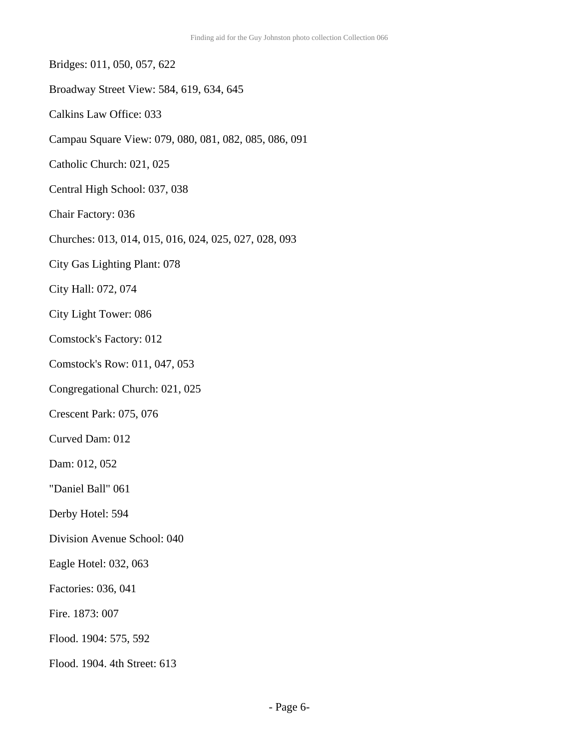- Bridges: 011, 050, 057, 622
- Broadway Street View: 584, 619, 634, 645
- Calkins Law Office: 033
- Campau Square View: 079, 080, 081, 082, 085, 086, 091
- Catholic Church: 021, 025
- Central High School: 037, 038
- Chair Factory: 036
- Churches: 013, 014, 015, 016, 024, 025, 027, 028, 093
- City Gas Lighting Plant: 078
- City Hall: 072, 074
- City Light Tower: 086
- Comstock's Factory: 012
- Comstock's Row: 011, 047, 053
- Congregational Church: 021, 025
- Crescent Park: 075, 076
- Curved Dam: 012
- Dam: 012, 052
- "Daniel Ball" 061
- Derby Hotel: 594
- Division Avenue School: 040
- Eagle Hotel: 032, 063
- Factories: 036, 041
- Fire. 1873: 007
- Flood. 1904: 575, 592
- Flood. 1904. 4th Street: 613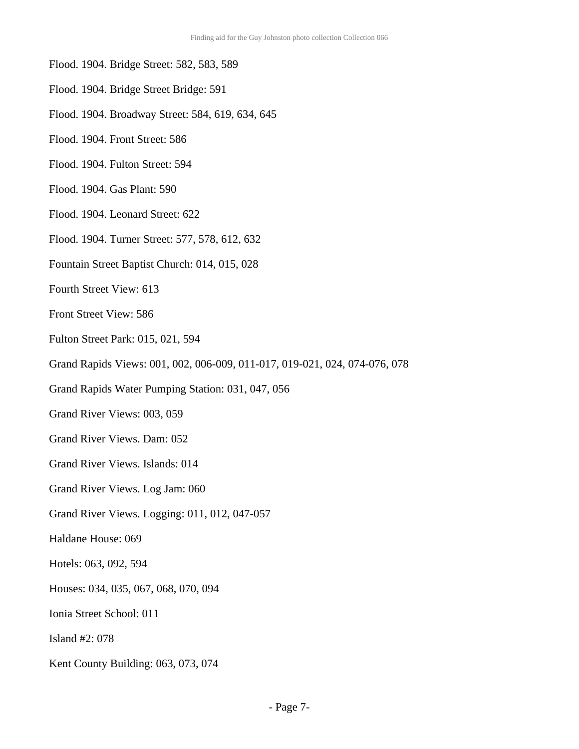- Flood. 1904. Bridge Street: 582, 583, 589
- Flood. 1904. Bridge Street Bridge: 591
- Flood. 1904. Broadway Street: 584, 619, 634, 645
- Flood. 1904. Front Street: 586
- Flood. 1904. Fulton Street: 594
- Flood. 1904. Gas Plant: 590
- Flood. 1904. Leonard Street: 622
- Flood. 1904. Turner Street: 577, 578, 612, 632
- Fountain Street Baptist Church: 014, 015, 028
- Fourth Street View: 613
- Front Street View: 586
- Fulton Street Park: 015, 021, 594
- Grand Rapids Views: 001, 002, 006-009, 011-017, 019-021, 024, 074-076, 078
- Grand Rapids Water Pumping Station: 031, 047, 056
- Grand River Views: 003, 059
- Grand River Views. Dam: 052
- Grand River Views. Islands: 014
- Grand River Views. Log Jam: 060
- Grand River Views. Logging: 011, 012, 047-057
- Haldane House: 069
- Hotels: 063, 092, 594
- Houses: 034, 035, 067, 068, 070, 094
- Ionia Street School: 011
- Island #2: 078
- Kent County Building: 063, 073, 074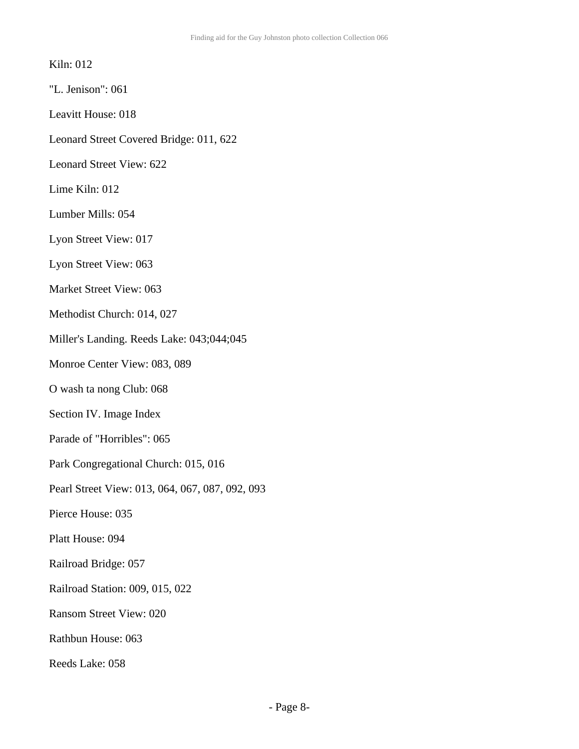#### Kiln: 012

- "L. Jenison": 061
- Leavitt House: 018
- Leonard Street Covered Bridge: 011, 622
- Leonard Street View: 622
- Lime Kiln: 012
- Lumber Mills: 054
- Lyon Street View: 017
- Lyon Street View: 063
- Market Street View: 063
- Methodist Church: 014, 027
- Miller's Landing. Reeds Lake: 043;044;045
- Monroe Center View: 083, 089
- O wash ta nong Club: 068
- Section IV. Image Index
- Parade of "Horribles": 065
- Park Congregational Church: 015, 016
- Pearl Street View: 013, 064, 067, 087, 092, 093
- Pierce House: 035
- Platt House: 094
- Railroad Bridge: 057
- Railroad Station: 009, 015, 022
- Ransom Street View: 020
- Rathbun House: 063
- Reeds Lake: 058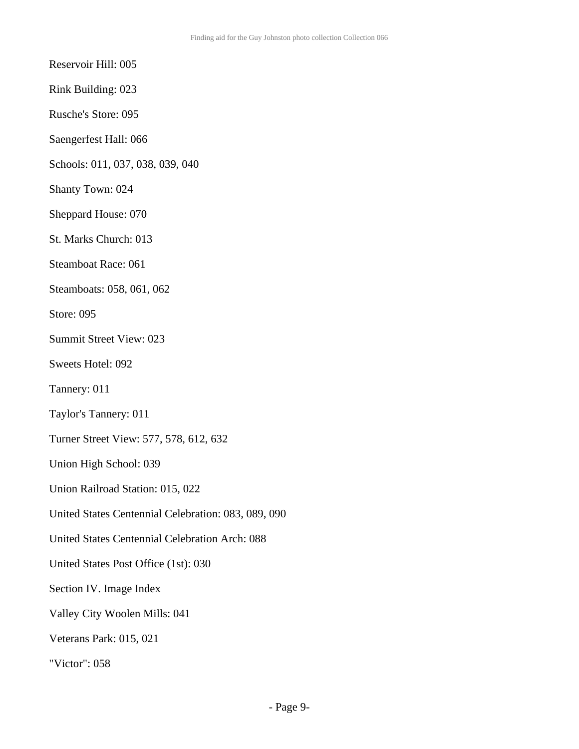Reservoir Hill: 005

Rink Building: 023

Rusche's Store: 095

Saengerfest Hall: 066

Schools: 011, 037, 038, 039, 040

Shanty Town: 024

Sheppard House: 070

St. Marks Church: 013

Steamboat Race: 061

Steamboats: 058, 061, 062

Store: 095

Summit Street View: 023

Sweets Hotel: 092

Tannery: 011

Taylor's Tannery: 011

Turner Street View: 577, 578, 612, 632

Union High School: 039

Union Railroad Station: 015, 022

United States Centennial Celebration: 083, 089, 090

United States Centennial Celebration Arch: 088

United States Post Office (1st): 030

Section IV. Image Index

Valley City Woolen Mills: 041

Veterans Park: 015, 021

"Victor": 058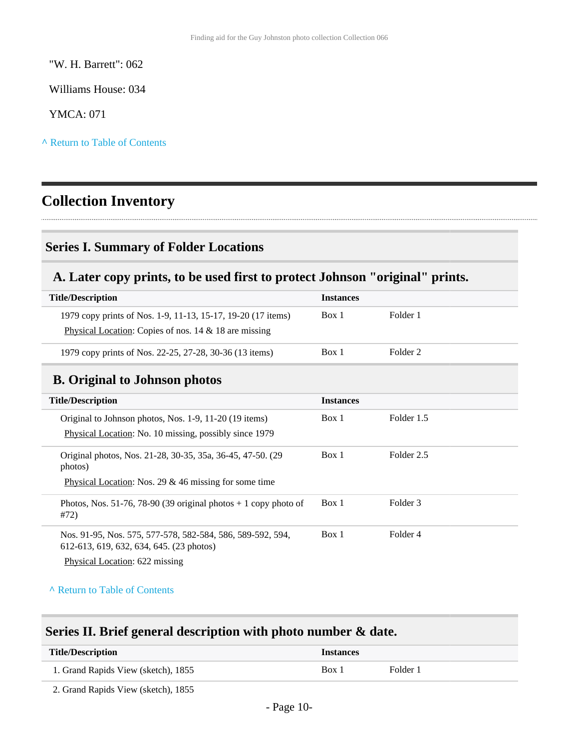"W. H. Barrett": 062

Williams House: 034

YMCA: 071

**^** [Return to Table of Contents](#page-1-0)

# <span id="page-9-0"></span>**Collection Inventory**

### <span id="page-9-1"></span>**Series I. Summary of Folder Locations**

### <span id="page-9-2"></span>**A. Later copy prints, to be used first to protect Johnson "original" prints.**

| <b>Title/Description</b>                                                                                                 | <b>Instances</b> |          |
|--------------------------------------------------------------------------------------------------------------------------|------------------|----------|
| 1979 copy prints of Nos. 1-9, 11-13, 15-17, 19-20 (17 items)<br>Physical Location: Copies of nos. $14 \& 18$ are missing | Box 1            | Folder 1 |
| 1979 copy prints of Nos. 22-25, 27-28, 30-36 (13 items)                                                                  | Box 1            | Folder 2 |

## <span id="page-9-3"></span>**B. Original to Johnson photos**

| <b>Title/Description</b>                                                                                                                 | <b>Instances</b> |            |
|------------------------------------------------------------------------------------------------------------------------------------------|------------------|------------|
| Original to Johnson photos, Nos. 1-9, 11-20 (19 items)<br>Physical Location: No. 10 missing, possibly since 1979                         | Box 1            | Folder 1.5 |
| Original photos, Nos. 21-28, 30-35, 35a, 36-45, 47-50. (29)<br>photos)<br>Physical Location: Nos. 29 $&$ 46 missing for some time        | Box 1            | Folder 2.5 |
| Photos, Nos. 51-76, 78-90 (39 original photos $+1$ copy photo of<br>#72)                                                                 | Box 1            | Folder 3   |
| Nos. 91-95, Nos. 575, 577-578, 582-584, 586, 589-592, 594,<br>612-613, 619, 632, 634, 645. (23 photos)<br>Physical Location: 622 missing | Box 1            | Folder 4   |

**^** [Return to Table of Contents](#page-1-0)

## <span id="page-9-4"></span>**Series II. Brief general description with photo number & date.**

| <b>Title/Description</b>            | <i><u><b>Instances</b></u></i> |          |
|-------------------------------------|--------------------------------|----------|
| 1. Grand Rapids View (sketch), 1855 | Box 1                          | Folder 1 |

2. Grand Rapids View (sketch), 1855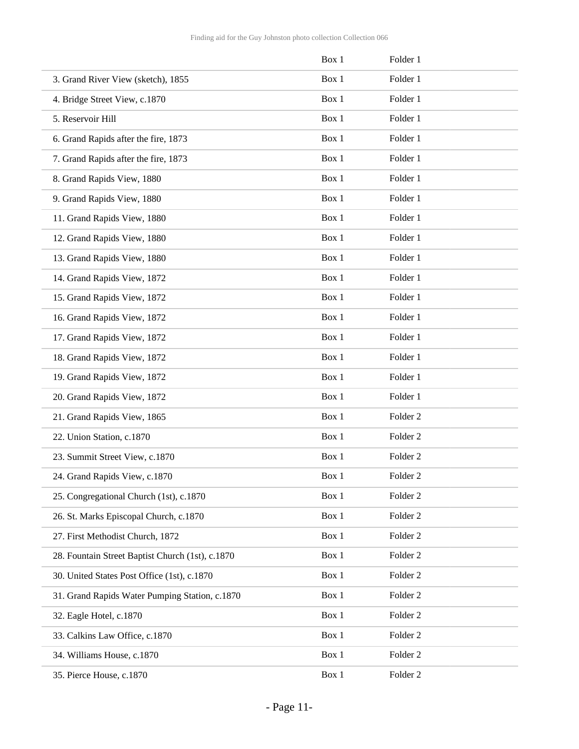|                                                  | Box 1 | Folder 1            |
|--------------------------------------------------|-------|---------------------|
| 3. Grand River View (sketch), 1855               | Box 1 | Folder 1            |
| 4. Bridge Street View, c.1870                    | Box 1 | Folder 1            |
| 5. Reservoir Hill                                | Box 1 | Folder 1            |
| 6. Grand Rapids after the fire, 1873             | Box 1 | Folder 1            |
| 7. Grand Rapids after the fire, 1873             | Box 1 | Folder 1            |
| 8. Grand Rapids View, 1880                       | Box 1 | Folder 1            |
| 9. Grand Rapids View, 1880                       | Box 1 | Folder 1            |
| 11. Grand Rapids View, 1880                      | Box 1 | Folder 1            |
| 12. Grand Rapids View, 1880                      | Box 1 | Folder 1            |
| 13. Grand Rapids View, 1880                      | Box 1 | Folder 1            |
| 14. Grand Rapids View, 1872                      | Box 1 | Folder 1            |
| 15. Grand Rapids View, 1872                      | Box 1 | Folder 1            |
| 16. Grand Rapids View, 1872                      | Box 1 | Folder 1            |
| 17. Grand Rapids View, 1872                      | Box 1 | Folder 1            |
| 18. Grand Rapids View, 1872                      | Box 1 | Folder 1            |
| 19. Grand Rapids View, 1872                      | Box 1 | Folder 1            |
| 20. Grand Rapids View, 1872                      | Box 1 | Folder 1            |
| 21. Grand Rapids View, 1865                      | Box 1 | Folder <sub>2</sub> |
| 22. Union Station, c.1870                        | Box 1 | Folder <sub>2</sub> |
| 23. Summit Street View, c.1870                   | Box 1 | Folder <sub>2</sub> |
| 24. Grand Rapids View, c.1870                    | Box 1 | Folder <sub>2</sub> |
| 25. Congregational Church (1st), c.1870          | Box 1 | Folder <sub>2</sub> |
| 26. St. Marks Episcopal Church, c.1870           | Box 1 | Folder <sub>2</sub> |
| 27. First Methodist Church, 1872                 | Box 1 | Folder <sub>2</sub> |
| 28. Fountain Street Baptist Church (1st), c.1870 | Box 1 | Folder <sub>2</sub> |
| 30. United States Post Office (1st), c.1870      | Box 1 | Folder <sub>2</sub> |
| 31. Grand Rapids Water Pumping Station, c.1870   | Box 1 | Folder <sub>2</sub> |
| 32. Eagle Hotel, c.1870                          | Box 1 | Folder <sub>2</sub> |
| 33. Calkins Law Office, c.1870                   | Box 1 | Folder <sub>2</sub> |
| 34. Williams House, c.1870                       | Box 1 | Folder <sub>2</sub> |
| 35. Pierce House, c.1870                         | Box 1 | Folder <sub>2</sub> |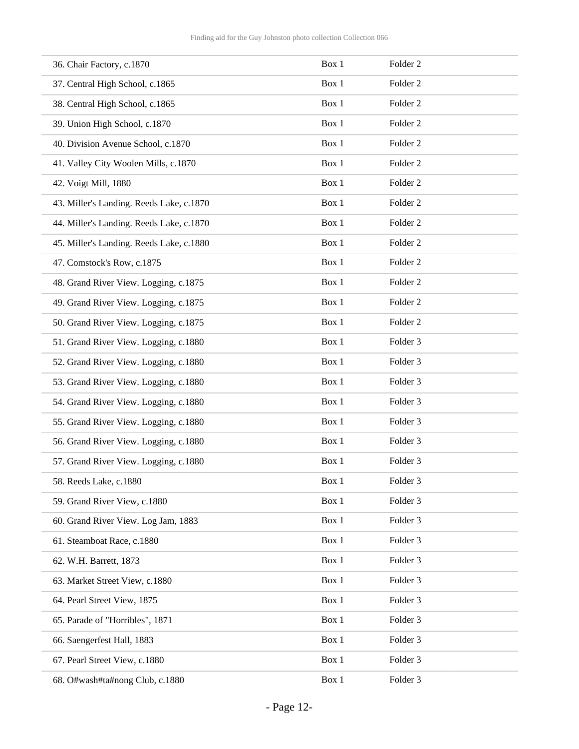| 36. Chair Factory, c.1870                | Box 1 | Folder <sub>2</sub> |
|------------------------------------------|-------|---------------------|
| 37. Central High School, c.1865          | Box 1 | Folder <sub>2</sub> |
| 38. Central High School, c.1865          | Box 1 | Folder <sub>2</sub> |
| 39. Union High School, c.1870            | Box 1 | Folder <sub>2</sub> |
| 40. Division Avenue School, c.1870       | Box 1 | Folder <sub>2</sub> |
| 41. Valley City Woolen Mills, c.1870     | Box 1 | Folder <sub>2</sub> |
| 42. Voigt Mill, 1880                     | Box 1 | Folder <sub>2</sub> |
| 43. Miller's Landing. Reeds Lake, c.1870 | Box 1 | Folder <sub>2</sub> |
| 44. Miller's Landing. Reeds Lake, c.1870 | Box 1 | Folder <sub>2</sub> |
| 45. Miller's Landing. Reeds Lake, c.1880 | Box 1 | Folder <sub>2</sub> |
| 47. Comstock's Row, c.1875               | Box 1 | Folder <sub>2</sub> |
| 48. Grand River View. Logging, c.1875    | Box 1 | Folder <sub>2</sub> |
| 49. Grand River View. Logging, c.1875    | Box 1 | Folder <sub>2</sub> |
| 50. Grand River View. Logging, c.1875    | Box 1 | Folder <sub>2</sub> |
| 51. Grand River View. Logging, c.1880    | Box 1 | Folder 3            |
| 52. Grand River View. Logging, c.1880    | Box 1 | Folder <sub>3</sub> |
| 53. Grand River View. Logging, c.1880    | Box 1 | Folder <sub>3</sub> |
| 54. Grand River View. Logging, c.1880    | Box 1 | Folder <sub>3</sub> |
| 55. Grand River View. Logging, c.1880    | Box 1 | Folder 3            |
| 56. Grand River View. Logging, c.1880    | Box 1 | Folder 3            |
| 57. Grand River View. Logging, c.1880    | Box 1 | Folder 3            |
| 58. Reeds Lake, c.1880                   | Box 1 | Folder 3            |
| 59. Grand River View, c.1880             | Box 1 | Folder 3            |
| 60. Grand River View. Log Jam, 1883      | Box 1 | Folder 3            |
| 61. Steamboat Race, c.1880               | Box 1 | Folder 3            |
| 62. W.H. Barrett, 1873                   | Box 1 | Folder 3            |
| 63. Market Street View, c.1880           | Box 1 | Folder 3            |
| 64. Pearl Street View, 1875              | Box 1 | Folder <sub>3</sub> |
| 65. Parade of "Horribles", 1871          | Box 1 | Folder 3            |
| 66. Saengerfest Hall, 1883               | Box 1 | Folder 3            |
| 67. Pearl Street View, c.1880            | Box 1 | Folder 3            |
| 68. O#wash#ta#nong Club, c.1880          | Box 1 | Folder 3            |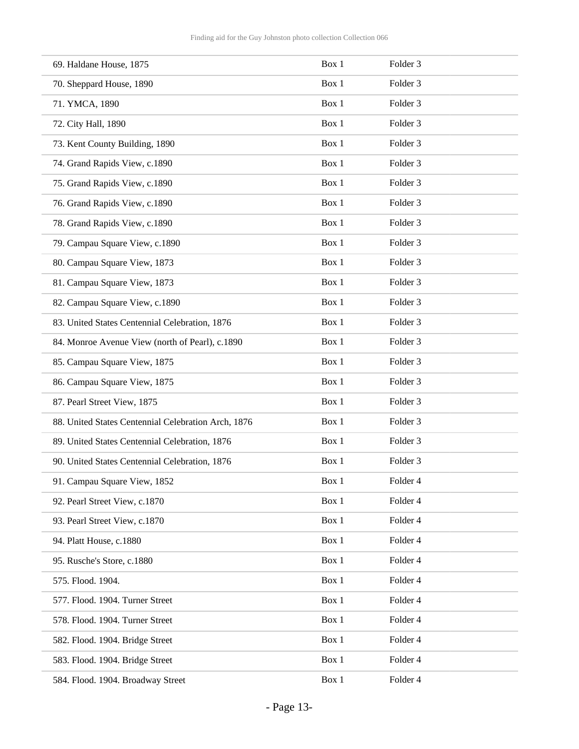| 69. Haldane House, 1875                             | Box 1 | Folder <sub>3</sub> |
|-----------------------------------------------------|-------|---------------------|
| 70. Sheppard House, 1890                            | Box 1 | Folder 3            |
| 71. YMCA, 1890                                      | Box 1 | Folder 3            |
| 72. City Hall, 1890                                 | Box 1 | Folder <sub>3</sub> |
| 73. Kent County Building, 1890                      | Box 1 | Folder <sub>3</sub> |
| 74. Grand Rapids View, c.1890                       | Box 1 | Folder <sub>3</sub> |
| 75. Grand Rapids View, c.1890                       | Box 1 | Folder 3            |
| 76. Grand Rapids View, c.1890                       | Box 1 | Folder <sub>3</sub> |
| 78. Grand Rapids View, c.1890                       | Box 1 | Folder <sub>3</sub> |
| 79. Campau Square View, c.1890                      | Box 1 | Folder <sub>3</sub> |
| 80. Campau Square View, 1873                        | Box 1 | Folder <sub>3</sub> |
| 81. Campau Square View, 1873                        | Box 1 | Folder <sub>3</sub> |
| 82. Campau Square View, c.1890                      | Box 1 | Folder <sub>3</sub> |
| 83. United States Centennial Celebration, 1876      | Box 1 | Folder 3            |
| 84. Monroe Avenue View (north of Pearl), c.1890     | Box 1 | Folder <sub>3</sub> |
| 85. Campau Square View, 1875                        | Box 1 | Folder <sub>3</sub> |
| 86. Campau Square View, 1875                        | Box 1 | Folder <sub>3</sub> |
| 87. Pearl Street View, 1875                         | Box 1 | Folder 3            |
| 88. United States Centennial Celebration Arch, 1876 | Box 1 | Folder <sub>3</sub> |
| 89. United States Centennial Celebration, 1876      | Box 1 | Folder <sub>3</sub> |
| 90. United States Centennial Celebration, 1876      | Box 1 | Folder 3            |
| 91. Campau Square View, 1852                        | Box 1 | Folder 4            |
| 92. Pearl Street View, c.1870                       | Box 1 | Folder 4            |
| 93. Pearl Street View, c.1870                       | Box 1 | Folder 4            |
| 94. Platt House, c.1880                             | Box 1 | Folder 4            |
| 95. Rusche's Store, c.1880                          | Box 1 | Folder 4            |
| 575. Flood. 1904.                                   | Box 1 | Folder 4            |
| 577. Flood. 1904. Turner Street                     | Box 1 | Folder 4            |
| 578. Flood. 1904. Turner Street                     | Box 1 | Folder 4            |
| 582. Flood. 1904. Bridge Street                     | Box 1 | Folder 4            |
| 583. Flood. 1904. Bridge Street                     | Box 1 | Folder 4            |
| 584. Flood. 1904. Broadway Street                   | Box 1 | Folder 4            |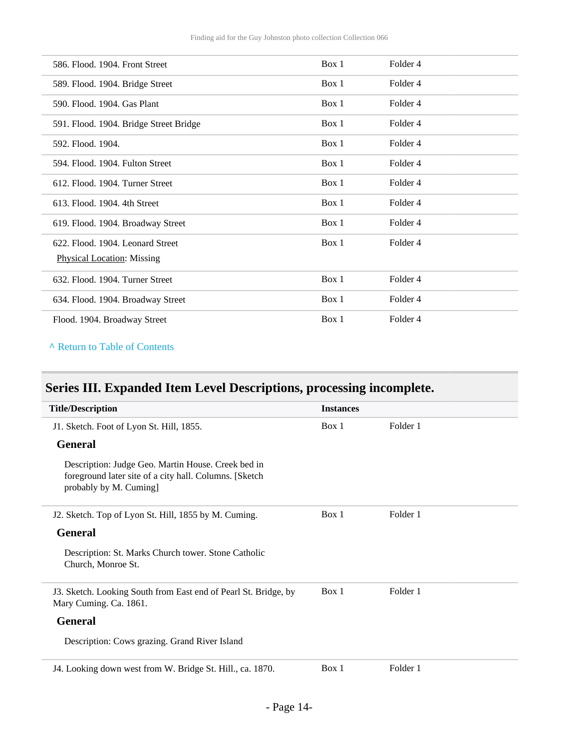| 586. Flood. 1904. Front Street         | Box 1 | Folder <sub>4</sub> |
|----------------------------------------|-------|---------------------|
| 589. Flood. 1904. Bridge Street        | Box 1 | Folder 4            |
| 590. Flood. 1904. Gas Plant            | Box 1 | Folder 4            |
| 591. Flood. 1904. Bridge Street Bridge | Box 1 | Folder <sub>4</sub> |
| 592. Flood. 1904.                      | Box 1 | Folder <sub>4</sub> |
| 594. Flood. 1904. Fulton Street        | Box 1 | Folder <sub>4</sub> |
| 612. Flood. 1904. Turner Street        | Box 1 | Folder 4            |
| 613. Flood. 1904. 4th Street           | Box 1 | Folder 4            |
| 619. Flood. 1904. Broadway Street      | Box 1 | Folder 4            |
| 622. Flood. 1904. Leonard Street       | Box 1 | Folder 4            |
| <b>Physical Location: Missing</b>      |       |                     |
| 632. Flood. 1904. Turner Street        |       |                     |
|                                        | Box 1 | Folder 4            |
| 634. Flood. 1904. Broadway Street      | Box 1 | Folder <sub>4</sub> |

**^** [Return to Table of Contents](#page-1-0)

# <span id="page-13-0"></span>**Series III. Expanded Item Level Descriptions, processing incomplete.**

| <b>Title/Description</b>                                                                                                                | <b>Instances</b> |          |
|-----------------------------------------------------------------------------------------------------------------------------------------|------------------|----------|
| J1. Sketch. Foot of Lyon St. Hill, 1855.                                                                                                | Box 1            | Folder 1 |
| <b>General</b>                                                                                                                          |                  |          |
| Description: Judge Geo. Martin House. Creek bed in<br>foreground later site of a city hall. Columns. [Sketch]<br>probably by M. Cuming] |                  |          |
| J2. Sketch. Top of Lyon St. Hill, 1855 by M. Cuming.                                                                                    | Box 1            | Folder 1 |
| <b>General</b>                                                                                                                          |                  |          |
| Description: St. Marks Church tower. Stone Catholic<br>Church, Monroe St.                                                               |                  |          |
| J3. Sketch. Looking South from East end of Pearl St. Bridge, by<br>Mary Cuming. Ca. 1861.                                               | Box 1            | Folder 1 |
| <b>General</b>                                                                                                                          |                  |          |
| Description: Cows grazing. Grand River Island                                                                                           |                  |          |
| J4. Looking down west from W. Bridge St. Hill., ca. 1870.                                                                               | Box 1            | Folder 1 |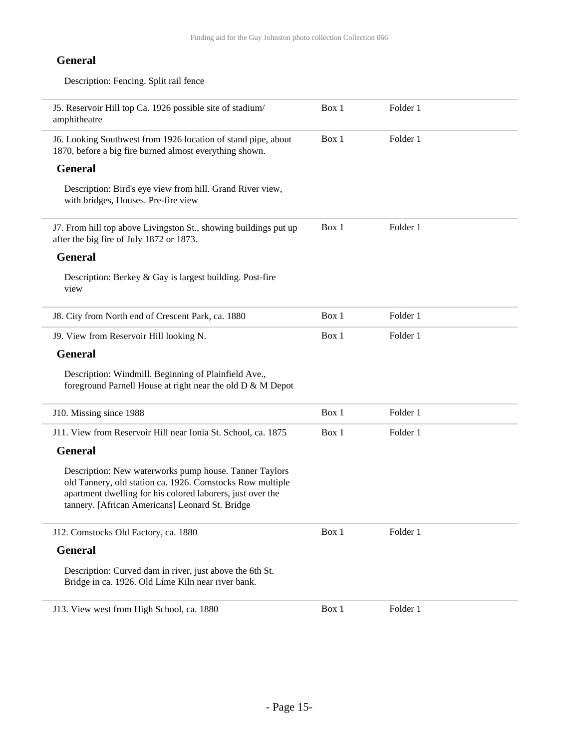#### **General**

 $\overline{a}$ 

Description: Fencing. Split rail fence

| J5. Reservoir Hill top Ca. 1926 possible site of stadium/<br>amphitheatre                                                                                                                                                            | Box 1 | Folder 1 |  |
|--------------------------------------------------------------------------------------------------------------------------------------------------------------------------------------------------------------------------------------|-------|----------|--|
| J6. Looking Southwest from 1926 location of stand pipe, about<br>1870, before a big fire burned almost everything shown.                                                                                                             | Box 1 | Folder 1 |  |
| <b>General</b>                                                                                                                                                                                                                       |       |          |  |
| Description: Bird's eye view from hill. Grand River view,<br>with bridges, Houses. Pre-fire view                                                                                                                                     |       |          |  |
| J7. From hill top above Livingston St., showing buildings put up<br>after the big fire of July 1872 or 1873.                                                                                                                         | Box 1 | Folder 1 |  |
| <b>General</b>                                                                                                                                                                                                                       |       |          |  |
| Description: Berkey & Gay is largest building. Post-fire<br>view                                                                                                                                                                     |       |          |  |
| J8. City from North end of Crescent Park, ca. 1880                                                                                                                                                                                   | Box 1 | Folder 1 |  |
| J9. View from Reservoir Hill looking N.                                                                                                                                                                                              | Box 1 | Folder 1 |  |
| <b>General</b>                                                                                                                                                                                                                       |       |          |  |
| Description: Windmill. Beginning of Plainfield Ave.,<br>foreground Parnell House at right near the old D & M Depot                                                                                                                   |       |          |  |
| J10. Missing since 1988                                                                                                                                                                                                              | Box 1 | Folder 1 |  |
| J11. View from Reservoir Hill near Ionia St. School, ca. 1875                                                                                                                                                                        | Box 1 | Folder 1 |  |
| <b>General</b>                                                                                                                                                                                                                       |       |          |  |
| Description: New waterworks pump house. Tanner Taylors<br>old Tannery, old station ca. 1926. Comstocks Row multiple<br>apartment dwelling for his colored laborers, just over the<br>tannery. [African Americans] Leonard St. Bridge |       |          |  |
| J12. Comstocks Old Factory, ca. 1880                                                                                                                                                                                                 | Box 1 | Folder 1 |  |
| <b>General</b>                                                                                                                                                                                                                       |       |          |  |
| Description: Curved dam in river, just above the 6th St.<br>Bridge in ca. 1926. Old Lime Kiln near river bank.                                                                                                                       |       |          |  |
| J13. View west from High School, ca. 1880                                                                                                                                                                                            | Box 1 | Folder 1 |  |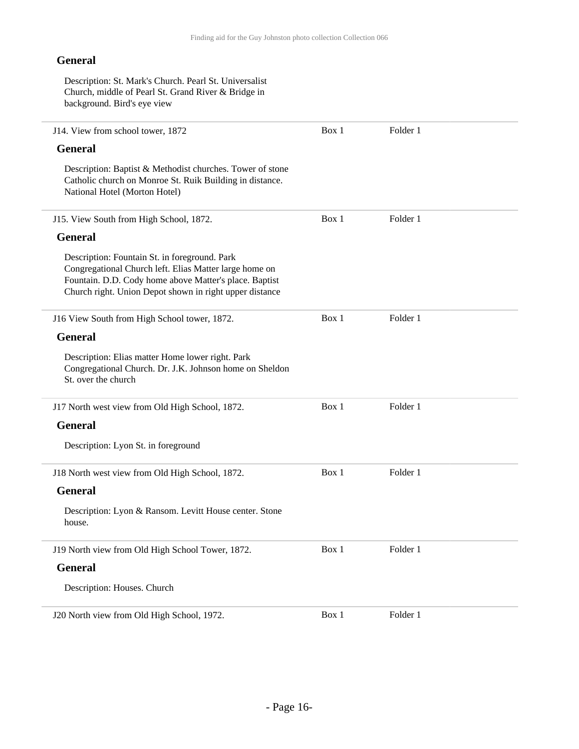#### **General**

Description: St. Mark's Church. Pearl St. Universalist Church, middle of Pearl St. Grand River & Bridge in background. Bird's eye view

| J14. View from school tower, 1872                                                                                                                                                                                            | Box 1 | Folder 1 |  |
|------------------------------------------------------------------------------------------------------------------------------------------------------------------------------------------------------------------------------|-------|----------|--|
| <b>General</b>                                                                                                                                                                                                               |       |          |  |
| Description: Baptist & Methodist churches. Tower of stone<br>Catholic church on Monroe St. Ruik Building in distance.<br>National Hotel (Morton Hotel)                                                                       |       |          |  |
| J15. View South from High School, 1872.                                                                                                                                                                                      | Box 1 | Folder 1 |  |
| <b>General</b>                                                                                                                                                                                                               |       |          |  |
| Description: Fountain St. in foreground. Park<br>Congregational Church left. Elias Matter large home on<br>Fountain. D.D. Cody home above Matter's place. Baptist<br>Church right. Union Depot shown in right upper distance |       |          |  |
| J16 View South from High School tower, 1872.                                                                                                                                                                                 | Box 1 | Folder 1 |  |
| <b>General</b>                                                                                                                                                                                                               |       |          |  |
| Description: Elias matter Home lower right. Park<br>Congregational Church. Dr. J.K. Johnson home on Sheldon<br>St. over the church                                                                                           |       |          |  |
| J17 North west view from Old High School, 1872.                                                                                                                                                                              | Box 1 | Folder 1 |  |
| <b>General</b>                                                                                                                                                                                                               |       |          |  |
| Description: Lyon St. in foreground                                                                                                                                                                                          |       |          |  |
| J18 North west view from Old High School, 1872.                                                                                                                                                                              | Box 1 | Folder 1 |  |
| <b>General</b>                                                                                                                                                                                                               |       |          |  |
| Description: Lyon & Ransom. Levitt House center. Stone<br>house.                                                                                                                                                             |       |          |  |
| J19 North view from Old High School Tower, 1872.                                                                                                                                                                             | Box 1 | Folder 1 |  |
| <b>General</b>                                                                                                                                                                                                               |       |          |  |
| Description: Houses. Church                                                                                                                                                                                                  |       |          |  |
| J20 North view from Old High School, 1972.                                                                                                                                                                                   | Box 1 | Folder 1 |  |